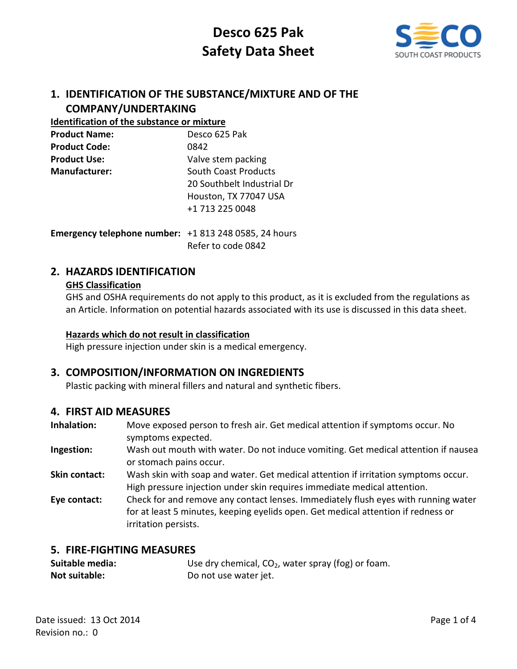

## **1. IDENTIFICATION OF THE SUBSTANCE/MIXTURE AND OF THE COMPANY/UNDERTAKING**

#### **Identification of the substance or mixture**

| Desco 625 Pak               |
|-----------------------------|
| 0842                        |
| Valve stem packing          |
| <b>South Coast Products</b> |
| 20 Southbelt Industrial Dr  |
| Houston, TX 77047 USA       |
| +1 713 225 0048             |
|                             |

**Emergency telephone number:** +1 813 248 0585, 24 hours Refer to code 0842

## **2. HAZARDS IDENTIFICATION**

#### **GHS Classification**

GHS and OSHA requirements do not apply to this product, as it is excluded from the regulations as an Article. Information on potential hazards associated with its use is discussed in this data sheet.

#### **Hazards which do not result in classification**

High pressure injection under skin is a medical emergency.

### **3. COMPOSITION/INFORMATION ON INGREDIENTS**

Plastic packing with mineral fillers and natural and synthetic fibers.

### **4. FIRST AID MEASURES**

**Inhalation:** Move exposed person to fresh air. Get medical attention if symptoms occur. No symptoms expected.

- **Ingestion:** Wash out mouth with water. Do not induce vomiting. Get medical attention if nausea or stomach pains occur.
- **Skin contact:** Wash skin with soap and water. Get medical attention if irritation symptoms occur. High pressure injection under skin requires immediate medical attention.
- **Eye contact:** Check for and remove any contact lenses. Immediately flush eyes with running water for at least 5 minutes, keeping eyelids open. Get medical attention if redness or irritation persists.

#### **5. FIRE-FIGHTING MEASURES**

| Suitable media: | Use dry chemical, $CO2$ , water spray (fog) or foam. |
|-----------------|------------------------------------------------------|
| Not suitable:   | Do not use water jet.                                |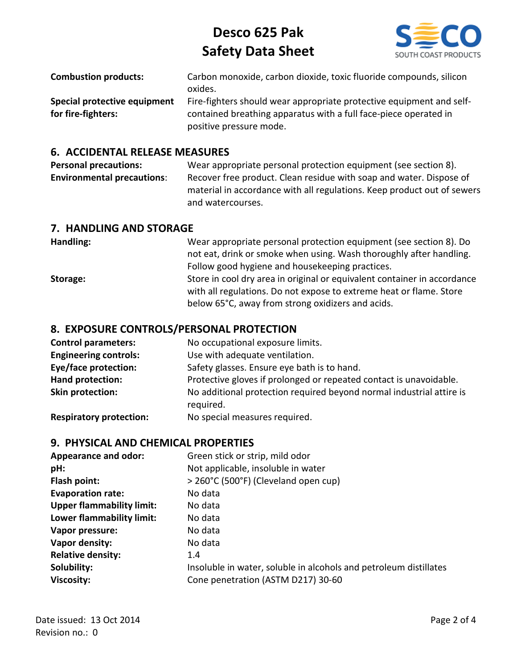

| <b>Combustion products:</b>  | Carbon monoxide, carbon dioxide, toxic fluoride compounds, silicon   |
|------------------------------|----------------------------------------------------------------------|
|                              | oxides.                                                              |
| Special protective equipment | Fire-fighters should wear appropriate protective equipment and self- |
| for fire-fighters:           | contained breathing apparatus with a full face-piece operated in     |
|                              | positive pressure mode.                                              |

#### **6. ACCIDENTAL RELEASE MEASURES**

**Personal precautions:** Wear appropriate personal protection equipment (see section 8). **Environmental precautions:** Recover free product. Clean residue with soap and water. Dispose of material in accordance with all regulations. Keep product out of sewers and watercourses.

#### **7. HANDLING AND STORAGE**

| Handling: | Wear appropriate personal protection equipment (see section 8). Do       |
|-----------|--------------------------------------------------------------------------|
|           | not eat, drink or smoke when using. Wash thoroughly after handling.      |
|           | Follow good hygiene and housekeeping practices.                          |
| Storage:  | Store in cool dry area in original or equivalent container in accordance |
|           | with all regulations. Do not expose to extreme heat or flame. Store      |
|           | below 65°C, away from strong oxidizers and acids.                        |

#### **8. EXPOSURE CONTROLS/PERSONAL PROTECTION**

| <b>Control parameters:</b>     | No occupational exposure limits.                                                  |
|--------------------------------|-----------------------------------------------------------------------------------|
| <b>Engineering controls:</b>   | Use with adequate ventilation.                                                    |
| <b>Eye/face protection:</b>    | Safety glasses. Ensure eye bath is to hand.                                       |
| Hand protection:               | Protective gloves if prolonged or repeated contact is unavoidable.                |
| Skin protection:               | No additional protection required beyond normal industrial attire is<br>required. |
| <b>Respiratory protection:</b> | No special measures required.                                                     |

#### **9. PHYSICAL AND CHEMICAL PROPERTIES**

| <b>Appearance and odor:</b>      | Green stick or strip, mild odor                                   |
|----------------------------------|-------------------------------------------------------------------|
| pH:                              | Not applicable, insoluble in water                                |
| Flash point:                     | > 260°C (500°F) (Cleveland open cup)                              |
| <b>Evaporation rate:</b>         | No data                                                           |
| <b>Upper flammability limit:</b> | No data                                                           |
| Lower flammability limit:        | No data                                                           |
| Vapor pressure:                  | No data                                                           |
| Vapor density:                   | No data                                                           |
| <b>Relative density:</b>         | 1.4                                                               |
| Solubility:                      | Insoluble in water, soluble in alcohols and petroleum distillates |
| <b>Viscosity:</b>                | Cone penetration (ASTM D217) 30-60                                |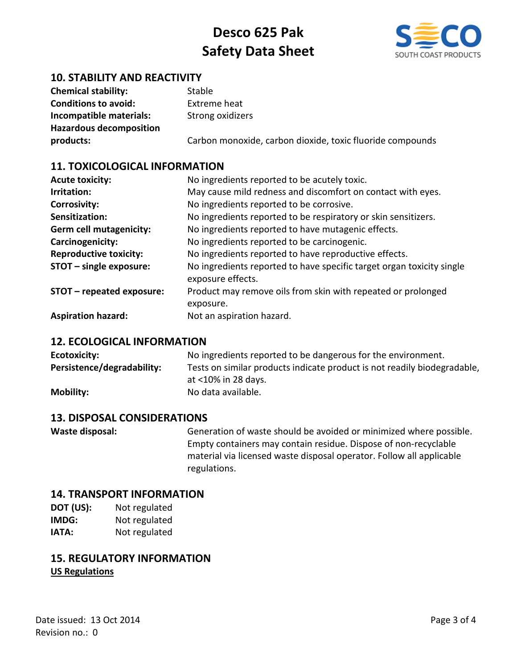

## **10. STABILITY AND REACTIVITY**

| <b>Chemical stability:</b>     | Stable                                                    |
|--------------------------------|-----------------------------------------------------------|
| <b>Conditions to avoid:</b>    | Extreme heat                                              |
| Incompatible materials:        | Strong oxidizers                                          |
| <b>Hazardous decomposition</b> |                                                           |
| products:                      | Carbon monoxide, carbon dioxide, toxic fluoride compounds |

#### **11. TOXICOLOGICAL INFORMATION**

| <b>Acute toxicity:</b>         | No ingredients reported to be acutely toxic.                                               |
|--------------------------------|--------------------------------------------------------------------------------------------|
| Irritation:                    | May cause mild redness and discomfort on contact with eyes.                                |
| <b>Corrosivity:</b>            | No ingredients reported to be corrosive.                                                   |
| Sensitization:                 | No ingredients reported to be respiratory or skin sensitizers.                             |
| <b>Germ cell mutagenicity:</b> | No ingredients reported to have mutagenic effects.                                         |
| Carcinogenicity:               | No ingredients reported to be carcinogenic.                                                |
| <b>Reproductive toxicity:</b>  | No ingredients reported to have reproductive effects.                                      |
| STOT - single exposure:        | No ingredients reported to have specific target organ toxicity single<br>exposure effects. |
| STOT - repeated exposure:      | Product may remove oils from skin with repeated or prolonged<br>exposure.                  |
| <b>Aspiration hazard:</b>      | Not an aspiration hazard.                                                                  |

#### **12. ECOLOGICAL INFORMATION**

| Ecotoxicity:               | No ingredients reported to be dangerous for the environment.             |
|----------------------------|--------------------------------------------------------------------------|
| Persistence/degradability: | Tests on similar products indicate product is not readily biodegradable, |
|                            | at <10% in 28 days.                                                      |
| <b>Mobility:</b>           | No data available.                                                       |

#### **13. DISPOSAL CONSIDERATIONS**

**Waste disposal:** Generation of waste should be avoided or minimized where possible. Empty containers may contain residue. Dispose of non-recyclable material via licensed waste disposal operator. Follow all applicable regulations.

#### **14. TRANSPORT INFORMATION**

**DOT (US):** Not regulated **IMDG:** Not regulated **IATA:** Not regulated

### **15. REGULATORY INFORMATION US Regulations**